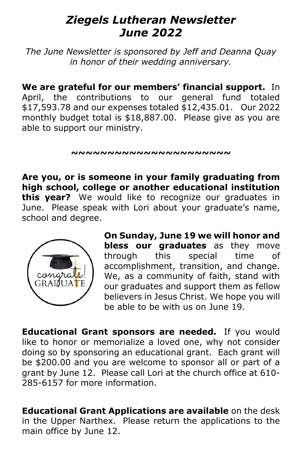## *Ziegels Lutheran Newsletter June 2022*

*The June Newsletter is sponsored by Jeff and Deanna Quay in honor of their wedding anniversary.*

**We are grateful for our members' financial support.** In April, the contributions to our general fund totaled \$17,593.78 and our expenses totaled \$12,435.01. Our 2022 monthly budget total is \$18,887.00. Please give as you are able to support our ministry.

**~~~~~~~~~~~~~~~~~~~~~~**

**Are you, or is someone in your family graduating from high school, college or another educational institution this year?** We would like to recognize our graduates in June. Please speak with Lori about your graduate's name, school and degree.



**On Sunday, June 19 we will honor and bless our graduates** as they move through this special time of accomplishment, transition, and change. We, as a community of faith, stand with our graduates and support them as fellow believers in Jesus Christ. We hope you will be able to be with us on June 19.

**Educational Grant sponsors are needed.** If you would like to honor or memorialize a loved one, why not consider doing so by sponsoring an educational grant. Each grant will be \$200.00 and you are welcome to sponsor all or part of a grant by June 12. Please call Lori at the church office at [610-](tel:610-285-6157) [285-6157](tel:610-285-6157) for more information.

**Educational Grant Applications are available** on the desk in the Upper Narthex. Please return the applications to the main office by June 12.